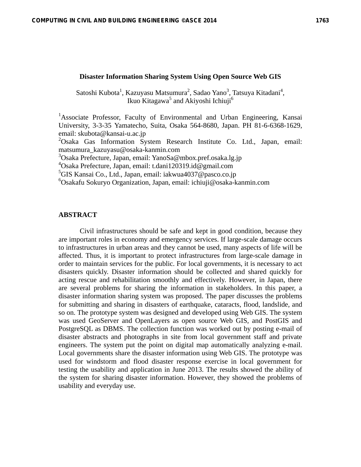#### **Disaster Information Sharing System Using Open Source Web GIS**

Satoshi Kubota<sup>1</sup>, Kazuyasu Matsumura<sup>2</sup>, Sadao Yano<sup>3</sup>, Tatsuya Kitadani<sup>4</sup>, Ikuo Kitagawa<sup>5</sup> and Akiyoshi Ichiuji<sup>6</sup>

<sup>1</sup>Associate Professor, Faculty of Environmental and Urban Engineering, Kansai University, 3-3-35 Yamatecho, Suita, Osaka 564-8680, Japan. PH 81-6-6368-1629, email: skubota@kansai-u.ac.jp

<sup>2</sup>Osaka Gas Information System Research Institute Co. Ltd., Japan, email: matsumura\_kazuyasu@osaka-kanmin.com

3 Osaka Prefecture, Japan, email: YanoSa@mbox.pref.osaka.lg.jp

4 Osaka Prefecture, Japan, email: t.dani120319.id@gmail.com

5 GIS Kansai Co., Ltd., Japan, email: iakwua4037@pasco.co.jp

6 Osakafu Sokuryo Organization, Japan, email: ichiuji@osaka-kanmin.com

## **ABSTRACT**

Civil infrastructures should be safe and kept in good condition, because they are important roles in economy and emergency services. If large-scale damage occurs to infrastructures in urban areas and they cannot be used, many aspects of life will be affected. Thus, it is important to protect infrastructures from large-scale damage in order to maintain services for the public. For local governments, it is necessary to act disasters quickly. Disaster information should be collected and shared quickly for acting rescue and rehabilitation smoothly and effectively. However, in Japan, there are several problems for sharing the information in stakeholders. In this paper, a disaster information sharing system was proposed. The paper discusses the problems for submitting and sharing in disasters of earthquake, cataracts, flood, landslide, and so on. The prototype system was designed and developed using Web GIS. The system was used GeoServer and OpenLayers as open source Web GIS, and PostGIS and PostgreSQL as DBMS. The collection function was worked out by posting e-mail of disaster abstracts and photographs in site from local government staff and private engineers. The system put the point on digital map automatically analyzing e-mail. Local governments share the disaster information using Web GIS. The prototype was used for windstorm and flood disaster response exercise in local government for testing the usability and application in June 2013. The results showed the ability of the system for sharing disaster information. However, they showed the problems of usability and everyday use.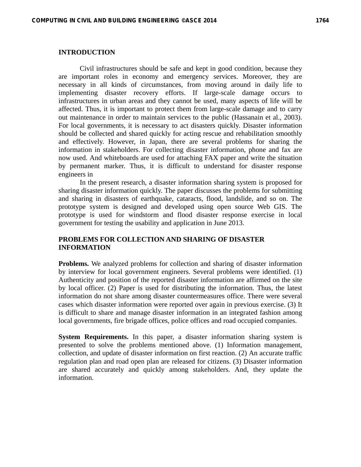#### **INTRODUCTION**

Civil infrastructures should be safe and kept in good condition, because they are important roles in economy and emergency services. Moreover, they are necessary in all kinds of circumstances, from moving around in daily life to implementing disaster recovery efforts. If large-scale damage occurs to infrastructures in urban areas and they cannot be used, many aspects of life will be affected. Thus, it is important to protect them from large-scale damage and to carry out maintenance in order to maintain services to the public (Hassanain et al., 2003). For local governments, it is necessary to act disasters quickly. Disaster information should be collected and shared quickly for acting rescue and rehabilitation smoothly and effectively. However, in Japan, there are several problems for sharing the information in stakeholders. For collecting disaster information, phone and fax are now used. And whiteboards are used for attaching FAX paper and write the situation by permanent marker. Thus, it is difficult to understand for disaster response engineers in

In the present research, a disaster information sharing system is proposed for sharing disaster information quickly. The paper discusses the problems for submitting and sharing in disasters of earthquake, cataracts, flood, landslide, and so on. The prototype system is designed and developed using open source Web GIS. The prototype is used for windstorm and flood disaster response exercise in local government for testing the usability and application in June 2013.

# **PROBLEMS FOR COLLECTION AND SHARING OF DISASTER INFORMATION**

**Problems.** We analyzed problems for collection and sharing of disaster information by interview for local government engineers. Several problems were identified. (1) Authenticity and position of the reported disaster information are affirmed on the site by local officer. (2) Paper is used for distributing the information. Thus, the latest information do not share among disaster countermeasures office. There were several cases which disaster information were reported over again in previous exercise. (3) It is difficult to share and manage disaster information in an integrated fashion among local governments, fire brigade offices, police offices and road occupied companies.

**System Requirements.** In this paper, a disaster information sharing system is presented to solve the problems mentioned above. (1) Information management, collection, and update of disaster information on first reaction. (2) An accurate traffic regulation plan and road open plan are released for citizens. (3) Disaster information are shared accurately and quickly among stakeholders. And, they update the information.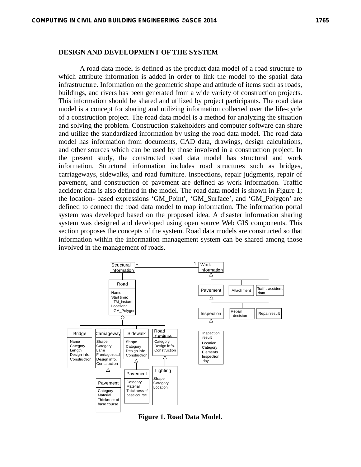A road data model is defined as the product data model of a road structure to which attribute information is added in order to link the model to the spatial data infrastructure. Information on the geometric shape and attitude of items such as roads, buildings, and rivers has been generated from a wide variety of construction projects. This information should be shared and utilized by project participants. The road data model is a concept for sharing and utilizing information collected over the life-cycle of a construction project. The road data model is a method for analyzing the situation and solving the problem. Construction stakeholders and computer software can share and utilize the standardized information by using the road data model. The road data model has information from documents, CAD data, drawings, design calculations, and other sources which can be used by those involved in a construction project. In the present study, the constructed road data model has structural and work information. Structural information includes road structures such as bridges, carriageways, sidewalks, and road furniture. Inspections, repair judgments, repair of pavement, and construction of pavement are defined as work information. Traffic accident data is also defined in the model. The road data model is shown in Figure 1; the location- based expressions 'GM\_Point', 'GM\_Surface', and 'GM\_Polygon' are defined to connect the road data model to map information. The information portal system was developed based on the proposed idea. A disaster information sharing system was designed and developed using open source Web GIS components. This section proposes the concepts of the system. Road data models are constructed so that information within the information management system can be shared among those involved in the management of roads.



**Figure 1. Road Data Model.**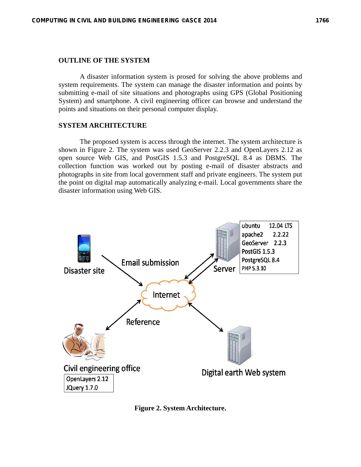#### **OUTLINE OF THE SYSTEM**

A disaster information system is prosed for solving the above problems and system requirements. The system can manage the disaster information and points by submitting e-mail of site situations and photographs using GPS (Global Positioning System) and smartphone. A civil engineering officer can browse and understand the points and situations on their personal computer display.

#### **SYSTEM ARCHITECTURE**

The proposed system is access through the internet. The system architecture is shown in Figure 2. The system was used GeoServer 2.2.3 and OpenLayers 2.12 as open source Web GIS, and PostGIS 1.5.3 and PostgreSQL 8.4 as DBMS. The collection function was worked out by posting e-mail of disaster abstracts and photographs in site from local government staff and private engineers. The system put the point on digital map automatically analyzing e-mail. Local governments share the disaster information using Web GIS.



**Figure 2. System Architecture.**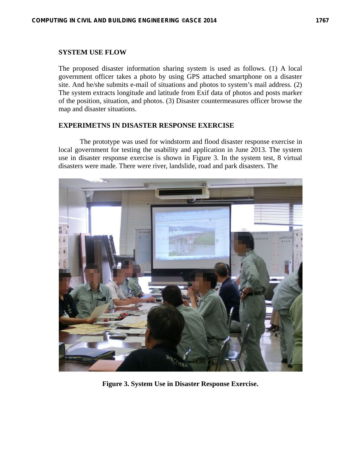## **SYSTEM USE FLOW**

The proposed disaster information sharing system is used as follows. (1) A local government officer takes a photo by using GPS attached smartphone on a disaster site. And he/she submits e-mail of situations and photos to system's mail address. (2) The system extracts longitude and latitude from Exif data of photos and posts marker of the position, situation, and photos. (3) Disaster countermeasures officer browse the map and disaster situations.

# **EXPERIMETNS IN DISASTER RESPONSE EXERCISE**

The prototype was used for windstorm and flood disaster response exercise in local government for testing the usability and application in June 2013. The system use in disaster response exercise is shown in Figure 3. In the system test, 8 virtual disasters were made. There were river, landslide, road and park disasters. The



**Figure 3. System Use in Disaster Response Exercise.**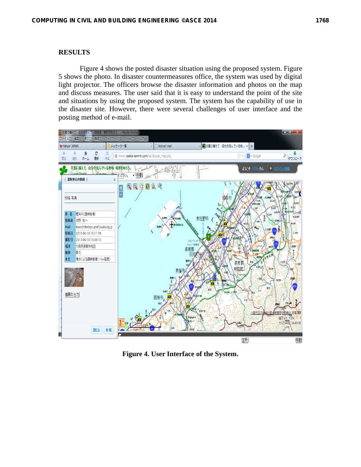## **RESULTS**

Figure 4 shows the posted disaster situation using the proposed system. Figure 5 shows the photo. In disaster countermeasures office, the system was used by digital light projector. The officers browse the disaster information and photos on the map and discuss measures. The user said that it is easy to understand the point of the site and situations by using the proposed system. The system has the capability of use in the disaster site. However, there were several challenges of user interface and the posting method of e-mail.



**Figure 4. User Interface of the System.**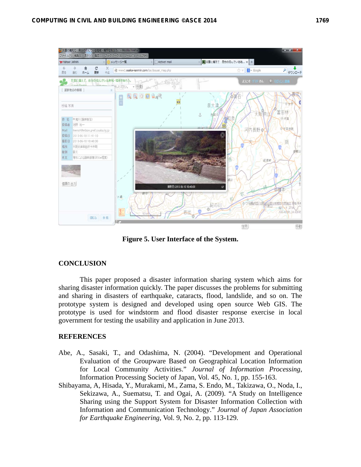

**Figure 5. User Interface of the System.** 

# **CONCLUSION**

This paper proposed a disaster information sharing system which aims for sharing disaster information quickly. The paper discusses the problems for submitting and sharing in disasters of earthquake, cataracts, flood, landslide, and so on. The prototype system is designed and developed using open source Web GIS. The prototype is used for windstorm and flood disaster response exercise in local government for testing the usability and application in June 2013.

### **REFERENCES**

- Abe, A., Sasaki, T., and Odashima, N. (2004). "Development and Operational Evaluation of the Groupware Based on Geographical Location Information for Local Community Activities." *Journal of Information Processing*, Information Processing Society of Japan, Vol. 45, No. 1, pp. 155-163.
- Shibayama, A, Hisada, Y., Murakami, M., Zama, S. Endo, M., Takizawa, O., Noda, I., Sekizawa, A., Suematsu, T. and Ogai, A. (2009). "A Study on Intelligence Sharing using the Support System for Disaster Information Collection with Information and Communication Technology." *Journal of Japan Association for Earthquake Engineering*, Vol. 9, No. 2, pp. 113-129.